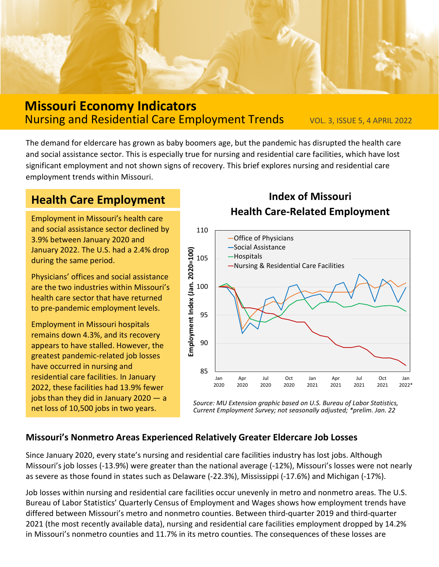

### **Missouri Economy Indicators** Nursing and Residential Care Employment Trends vol. 3, ISSUE 5, 4 APRIL 2022

The demand for eldercare has grown as baby boomers age, but the pandemic has disrupted the health care and social assistance sector. This is especially true for nursing and residential care facilities, which have lost significant employment and not shown signs of recovery. This brief explores nursing and residential care employment trends within Missouri.

# **Health Care Employment**

Employment in Missouri's health care and social assistance sector declined by 3.9% between January 2020 and January 2022. The U.S. had a 2.4% drop during the same period.

Physicians' offices and social assistance are the two industries within Missouri's health care sector that have returned to pre-pandemic employment levels.

Employment in Missouri hospitals remains down 4.3%, and its recovery appears to have stalled. However, the greatest pandemic-related job losses have occurred in nursing and residential care facilities. In January 2022, these facilities had 13.9% fewer jobs than they did in January 2020 — a

## **Index of Missouri Health Care-Related Employment**



net loss of 10,500 jobs in two years. *Source: MU Extension graphic based on U.S. Bureau of Labor Statistics, Current Employment Survey; not seasonally adjusted; \*prelim. Jan. 22*

#### **Missouri's Nonmetro Areas Experienced Relatively Greater Eldercare Job Losses**

Since January 2020, every state's nursing and residential care facilities industry has lost jobs. Although Missouri's job losses (-13.9%) were greater than the national average (-12%), Missouri's losses were not nearly as severe as those found in states such as Delaware (-22.3%), Mississippi (-17.6%) and Michigan (-17%).

Job losses within nursing and residential care facilities occur unevenly in metro and nonmetro areas. The U.S. Bureau of Labor Statistics' Quarterly Census of Employment and Wages shows how employment trends have differed between Missouri's metro and nonmetro counties. Between third-quarter 2019 and third-quarter 2021 (the most recently available data), nursing and residential care facilities employment dropped by 14.2% in Missouri's nonmetro counties and 11.7% in its metro counties. The consequences of these losses are